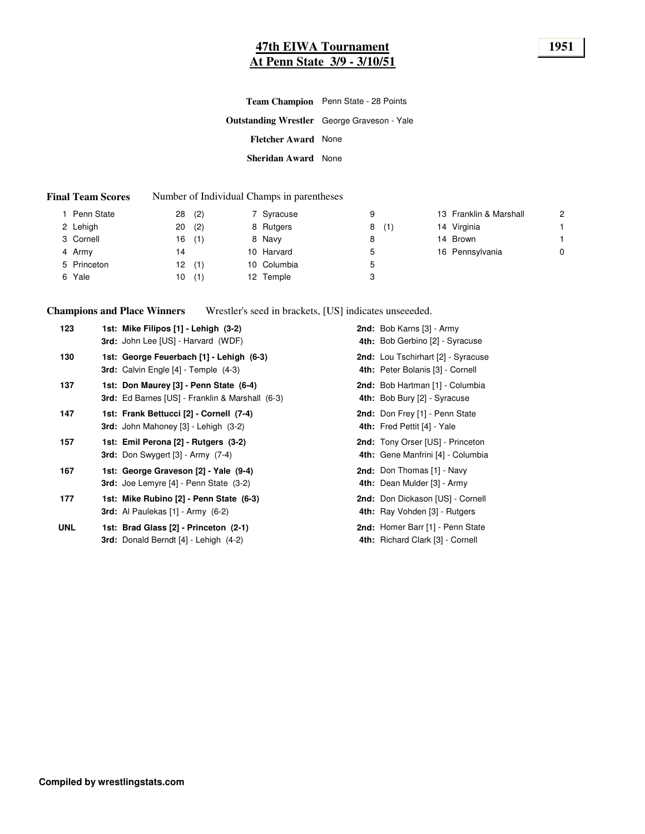## **47th EIWA Tournament 1951 At Penn State 3/9 - 3/10/51**

|                            | <b>Team Champion</b> Penn State - 28 Points        |
|----------------------------|----------------------------------------------------|
|                            | <b>Outstanding Wrestler</b> George Graveson - Yale |
| <b>Fletcher Award</b> None |                                                    |
| Sheridan Award None        |                                                    |

#### **Final Team Scores** Number of Individual Champs in parentheses

| Penn State  | (2)<br>28 | 7 Syracuse   | 9        | 13 Franklin & Marshall | $\overline{2}$ |
|-------------|-----------|--------------|----------|------------------------|----------------|
| 2 Lehigh    | (2)<br>20 | 8 Rutgers    | (1)<br>8 | 14 Virginia            |                |
| 3 Cornell   | (1)<br>16 | 8 Navy       | 8        | 14 Brown               |                |
| 4 Army      | 14        | 10 Harvard   | ა        | 16 Pennsylvania        | 0              |
| 5 Princeton | 12<br>(1) | 10 Columbia  | ა        |                        |                |
| 6 Yale      | (1)<br>10 | Temple<br>12 | 3        |                        |                |

**Champions and Place Winners** Wrestler's seed in brackets, [US] indicates unseeeded.

| 123        | 1st: Mike Filipos [1] - Lehigh (3-2)<br><b>3rd:</b> John Lee [US] - Harvard (WDF)           | 2nd: Bob Karns [3] - Army<br>4th: Bob Gerbino [2] - Syracuse                 |
|------------|---------------------------------------------------------------------------------------------|------------------------------------------------------------------------------|
| 130        | 1st: George Feuerbach [1] - Lehigh (6-3)<br><b>3rd:</b> Calvin Engle $[4]$ - Temple $(4-3)$ | 2nd: Lou Tschirhart [2] - Syracuse<br>4th: Peter Bolanis [3] - Cornell       |
| 137        | 1st: Don Maurey [3] - Penn State (6-4)<br>3rd: Ed Barnes [US] - Franklin & Marshall (6-3)   | 2nd: Bob Hartman [1] - Columbia<br>4th: Bob Bury [2] - Syracuse              |
| 147        | 1st: Frank Bettucci [2] - Cornell (7-4)<br><b>3rd:</b> John Mahoney $[3]$ - Lehigh $(3-2)$  | 2nd: Don Frey [1] - Penn State<br>4th: Fred Pettit [4] - Yale                |
| 157        | 1st: Emil Perona [2] - Rutgers (3-2)<br>3rd: Don Swygert $[3]$ - Army $(7-4)$               | <b>2nd:</b> Tony Orser [US] - Princeton<br>4th: Gene Manfrini [4] - Columbia |
| 167        | 1st: George Graveson [2] - Yale (9-4)<br><b>3rd:</b> Joe Lemyre $[4]$ - Penn State $(3-2)$  | 2nd: Don Thomas [1] - Navy<br>4th: Dean Mulder [3] - Army                    |
| 177        | 1st: Mike Rubino [2] - Penn State (6-3)<br><b>3rd:</b> Al Paulekas $[1]$ - Army $(6-2)$     | 2nd: Don Dickason [US] - Cornell<br>4th: Ray Vohden [3] - Rutgers            |
| <b>UNL</b> | 1st: Brad Glass [2] - Princeton (2-1)<br>3rd: Donald Berndt [4] - Lehigh (4-2)              | <b>2nd:</b> Homer Barr [1] - Penn State<br>4th: Richard Clark [3] - Cornell  |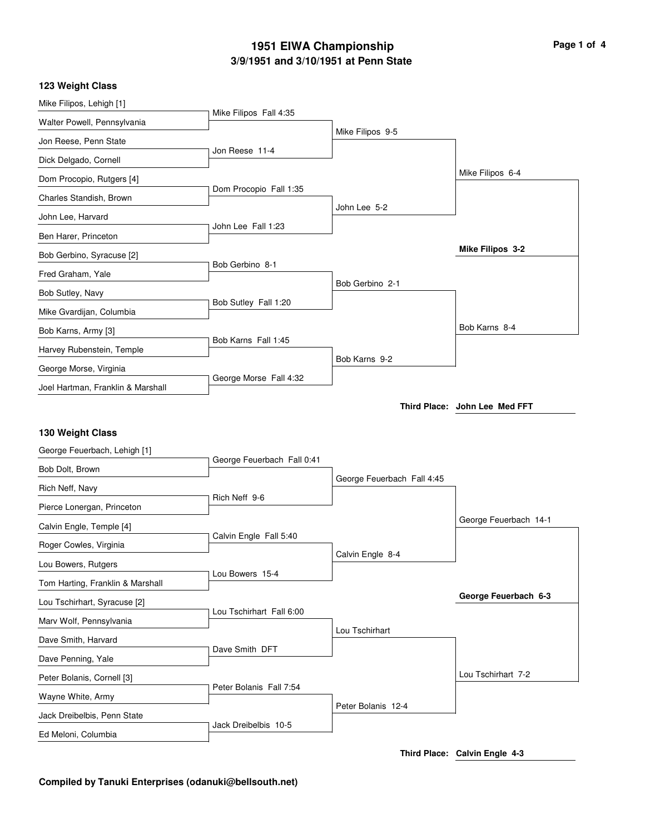#### **3/9/1951 and 3/10/1951 at Penn State 1951 EIWA Championship Page 1 of 4**

#### **123 Weight Class**

| Mike Filipos, Lehigh [1]          |                            |                            |                               |
|-----------------------------------|----------------------------|----------------------------|-------------------------------|
| Walter Powell, Pennsylvania       | Mike Filipos Fall 4:35     |                            |                               |
| Jon Reese, Penn State             |                            | Mike Filipos 9-5           |                               |
| Dick Delgado, Cornell             | Jon Reese 11-4             |                            |                               |
| Dom Procopio, Rutgers [4]         |                            |                            | Mike Filipos 6-4              |
| Charles Standish, Brown           | Dom Procopio Fall 1:35     |                            |                               |
| John Lee, Harvard                 |                            | John Lee 5-2               |                               |
| Ben Harer, Princeton              | John Lee Fall 1:23         |                            |                               |
| Bob Gerbino, Syracuse [2]         |                            |                            | Mike Filipos 3-2              |
| Fred Graham, Yale                 | Bob Gerbino 8-1            |                            |                               |
| Bob Sutley, Navy                  |                            | Bob Gerbino 2-1            |                               |
| Mike Gvardijan, Columbia          | Bob Sutley Fall 1:20       |                            |                               |
| Bob Karns, Army [3]               |                            |                            | Bob Karns 8-4                 |
| Harvey Rubenstein, Temple         | Bob Karns Fall 1:45        |                            |                               |
| George Morse, Virginia            |                            | Bob Karns 9-2              |                               |
| Joel Hartman, Franklin & Marshall | George Morse Fall 4:32     |                            |                               |
|                                   |                            |                            | Third Place: John Lee Med FFT |
|                                   |                            |                            |                               |
| 130 Weight Class                  |                            |                            |                               |
| George Feuerbach, Lehigh [1]      | George Feuerbach Fall 0:41 |                            |                               |
| Bob Dolt, Brown                   |                            | George Feuerbach Fall 4:45 |                               |
| Rich Neff, Navy                   | Rich Neff 9-6              |                            |                               |
| Pierce Lonergan, Princeton        |                            |                            | George Feuerbach 14-1         |
| Calvin Engle, Temple [4]          | Calvin Engle Fall 5:40     |                            |                               |
| Roger Cowles, Virginia            |                            | Calvin Engle 8-4           |                               |
| Lou Bowers, Rutgers               | Lou Bowers 15-4            |                            |                               |
| Tom Harting, Franklin & Marshall  |                            |                            | George Feuerbach 6-3          |
| Lou Tschirhart, Syracuse [2]      | Lou Tschirhart Fall 6:00   |                            |                               |
| Marv Wolf, Pennsylvania           |                            | Lou Tschirhart             |                               |
| Dave Smith, Harvard               | Dave Smith DFT             |                            |                               |
| Dave Penning, Yale                |                            |                            |                               |
| Peter Bolanis, Cornell [3]        | Peter Bolanis Fall 7:54    |                            | Lou Tschirhart 7-2            |
| Wayne White, Army                 |                            |                            |                               |
|                                   |                            |                            |                               |
| Jack Dreibelbis, Penn State       | Jack Dreibelbis 10-5       | Peter Bolanis 12-4         |                               |

**Third Place: Calvin Engle 4-3**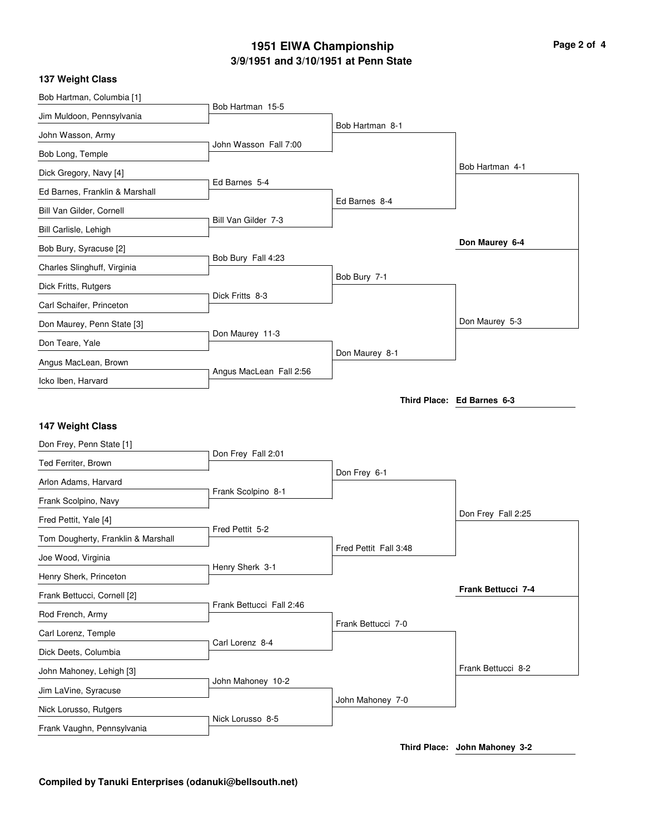# **3/9/1951 and 3/10/1951 at Penn State 1951 EIWA Championship Page 2 of 4**

|  | <b>137 Weight Class</b> |  |
|--|-------------------------|--|
|--|-------------------------|--|

| Bob Hartman, Columbia [1]                    |                          |                       |                            |
|----------------------------------------------|--------------------------|-----------------------|----------------------------|
| Jim Muldoon, Pennsylvania                    | Bob Hartman 15-5         |                       |                            |
| John Wasson, Army                            |                          | Bob Hartman 8-1       |                            |
| Bob Long, Temple                             | John Wasson Fall 7:00    |                       |                            |
| Dick Gregory, Navy [4]                       |                          |                       | Bob Hartman 4-1            |
| Ed Barnes, Franklin & Marshall               | Ed Barnes 5-4            |                       |                            |
| Bill Van Gilder, Cornell                     | Bill Van Gilder 7-3      | Ed Barnes 8-4         |                            |
| Bill Carlisle, Lehigh                        |                          |                       |                            |
| Bob Bury, Syracuse [2]                       |                          |                       | Don Maurey 6-4             |
| Charles Slinghuff, Virginia                  | Bob Bury Fall 4:23       |                       |                            |
| Dick Fritts, Rutgers                         |                          | Bob Bury 7-1          |                            |
| Carl Schaifer, Princeton                     | Dick Fritts 8-3          |                       |                            |
| Don Maurey, Penn State [3]                   |                          |                       | Don Maurey 5-3             |
| Don Teare, Yale                              | Don Maurey 11-3          |                       |                            |
| Angus MacLean, Brown                         |                          | Don Maurey 8-1        |                            |
| Icko Iben, Harvard                           | Angus MacLean Fall 2:56  |                       |                            |
|                                              |                          |                       | Third Place: Ed Barnes 6-3 |
|                                              |                          |                       |                            |
|                                              |                          |                       |                            |
| 147 Weight Class<br>Don Frey, Penn State [1] |                          |                       |                            |
| Ted Ferriter, Brown                          | Don Frey Fall 2:01       |                       |                            |
| Arlon Adams, Harvard                         |                          | Don Frey 6-1          |                            |
| Frank Scolpino, Navy                         | Frank Scolpino 8-1       |                       |                            |
| Fred Pettit, Yale [4]                        |                          |                       | Don Frey Fall 2:25         |
| Tom Dougherty, Franklin & Marshall           | Fred Pettit 5-2          |                       |                            |
| Joe Wood, Virginia                           |                          | Fred Pettit Fall 3:48 |                            |
| Henry Sherk, Princeton                       | Henry Sherk 3-1          |                       |                            |
| Frank Bettucci, Cornell [2]                  |                          |                       | Frank Bettucci 7-4         |
| Rod French, Army                             | Frank Bettucci Fall 2:46 |                       |                            |
| Carl Lorenz, Temple                          |                          | Frank Bettucci 7-0    |                            |
| Dick Deets, Columbia                         | Carl Lorenz 8-4          |                       |                            |
| John Mahoney, Lehigh [3]                     |                          |                       | Frank Bettucci 8-2         |
| Jim LaVine, Syracuse                         | John Mahoney 10-2        |                       |                            |
| Nick Lorusso, Rutgers                        | Nick Lorusso 8-5         | John Mahoney 7-0      |                            |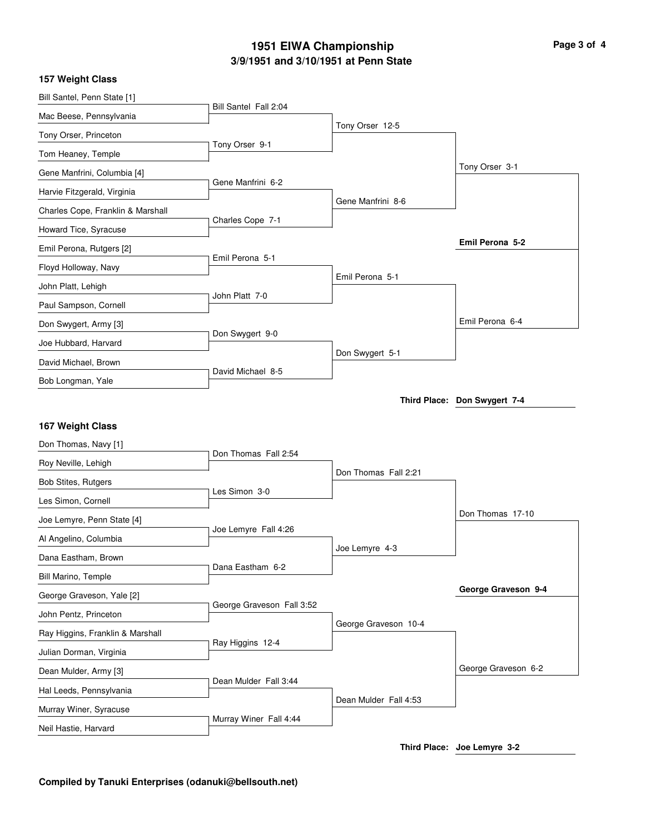# **3/9/1951 and 3/10/1951 at Penn State 1951 EIWA Championship Page 3 of 4**

|  | 157 Weight Class |  |
|--|------------------|--|
|--|------------------|--|

| Bill Santel, Penn State [1]                    |                           |                       |                              |
|------------------------------------------------|---------------------------|-----------------------|------------------------------|
| Mac Beese, Pennsylvania                        | Bill Santel Fall 2:04     |                       |                              |
| Tony Orser, Princeton                          |                           | Tony Orser 12-5       |                              |
| Tom Heaney, Temple                             | Tony Orser 9-1            |                       |                              |
| Gene Manfrini, Columbia [4]                    |                           |                       | Tony Orser 3-1               |
| Harvie Fitzgerald, Virginia                    | Gene Manfrini 6-2         |                       |                              |
| Charles Cope, Franklin & Marshall              |                           | Gene Manfrini 8-6     |                              |
| Howard Tice, Syracuse                          | Charles Cope 7-1          |                       |                              |
| Emil Perona, Rutgers [2]                       |                           |                       | Emil Perona 5-2              |
| Floyd Holloway, Navy                           | Emil Perona 5-1           |                       |                              |
| John Platt, Lehigh                             |                           | Emil Perona 5-1       |                              |
| Paul Sampson, Cornell                          | John Platt 7-0            |                       |                              |
| Don Swygert, Army [3]                          |                           |                       | Emil Perona 6-4              |
| Joe Hubbard, Harvard                           | Don Swygert 9-0           |                       |                              |
| David Michael, Brown                           |                           | Don Swygert 5-1       |                              |
| Bob Longman, Yale                              | David Michael 8-5         |                       |                              |
|                                                |                           |                       | Third Place: Don Swygert 7-4 |
|                                                |                           |                       |                              |
|                                                |                           |                       |                              |
| 167 Weight Class                               |                           |                       |                              |
| Don Thomas, Navy [1]                           | Don Thomas Fall 2:54      |                       |                              |
| Roy Neville, Lehigh                            |                           | Don Thomas Fall 2:21  |                              |
| Bob Stites, Rutgers                            | Les Simon 3-0             |                       |                              |
| Les Simon, Cornell                             |                           |                       | Don Thomas 17-10             |
| Joe Lemyre, Penn State [4]                     | Joe Lemyre Fall 4:26      |                       |                              |
| Al Angelino, Columbia                          |                           | Joe Lemyre 4-3        |                              |
| Dana Eastham, Brown                            | Dana Eastham 6-2          |                       |                              |
| Bill Marino, Temple                            |                           |                       | George Graveson 9-4          |
| George Graveson, Yale [2]                      | George Graveson Fall 3:52 |                       |                              |
| John Pentz, Princeton                          |                           | George Graveson 10-4  |                              |
| Ray Higgins, Franklin & Marshall               | Ray Higgins 12-4          |                       |                              |
| Julian Dorman, Virginia                        |                           |                       |                              |
| Dean Mulder, Army [3]                          | Dean Mulder Fall 3:44     |                       | George Graveson 6-2          |
| Hal Leeds, Pennsylvania                        |                           | Dean Mulder Fall 4:53 |                              |
| Murray Winer, Syracuse<br>Neil Hastie, Harvard | Murray Winer Fall 4:44    |                       |                              |

**Third Place: Joe Lemyre 3-2**